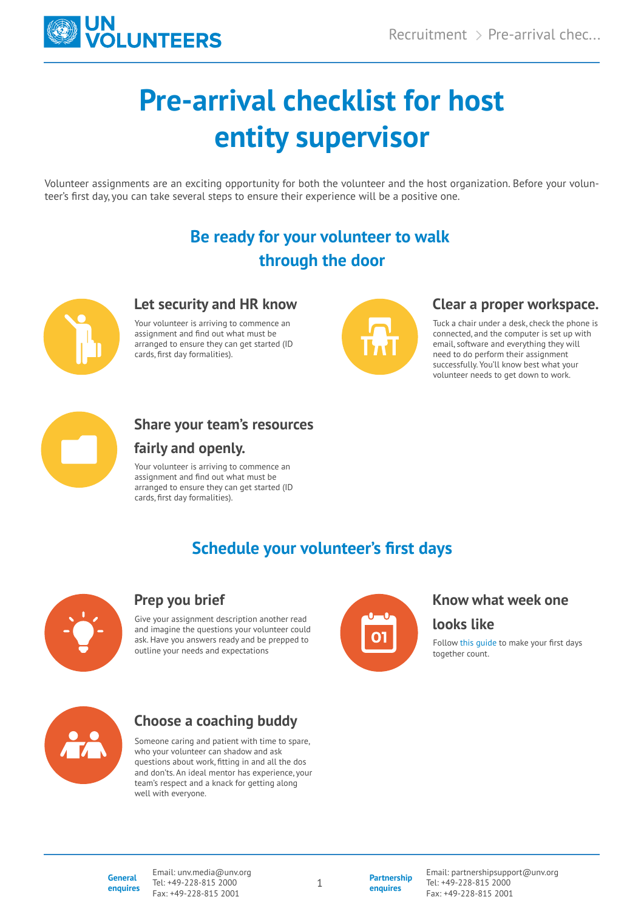

# **Pre-arrival checklist for host entity supervisor**

Volunteer assignments are an exciting opportunity for both the volunteer and the host organization. Before your volunteer's first day, you can take several steps to ensure their experience will be a positive one.

# **Be ready for your volunteer to walk through the door**



#### **Let security and HR know**

Your volunteer is arriving to commence an assignment and find out what must be arranged to ensure they can get started (ID cards, first day formalities).



#### **Clear a proper workspace.**

Tuck a chair under a desk, check the phone is connected, and the computer is set up with email, software and everything they will need to do perform their assignment successfully. You'll know best what your volunteer needs to get down to work.



## **Share your team's resources**

### **fairly and openly.**

Your volunteer is arriving to commence an assignment and find out what must be arranged to ensure they can get started (ID cards, first day formalities).

# **Schedule your volunteer's first days**



#### **Prep you brief**

Give your assignment description another read and imagine the questions your volunteer could ask. Have you answers ready and be prepped to outline your needs and expectations



#### **Know what week one**

**looks like**

Follow this guide to make your first days together count.



## **Choose a coaching buddy**

Someone caring and patient with time to spare, who your volunteer can shadow and ask questions about work, fitting in and all the dos and don'ts. An ideal mentor has experience, your team's respect and a knack for getting along well with everyone.

**General enquires** Email: unv.media@unv.org Tel: +49-228-815 2000 Fax: +49-228-815 2001

1